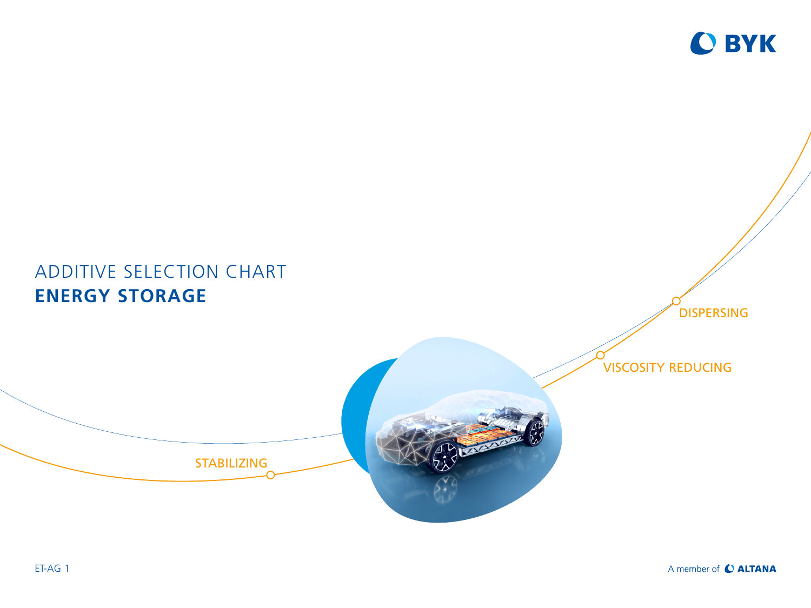

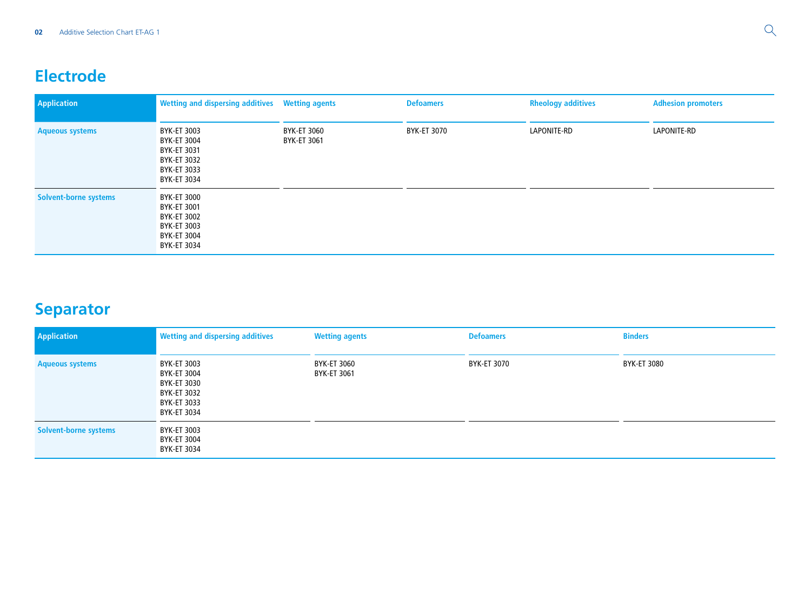## **Electrode**

| <b>Application</b>           | Wetting and dispersing additives  Wetting agents                                       |                            | <b>Defoamers</b> | <b>Rheology additives</b> | <b>Adhesion promoters</b> |
|------------------------------|----------------------------------------------------------------------------------------|----------------------------|------------------|---------------------------|---------------------------|
| <b>Aqueous systems</b>       | BYK-ET 3003<br>BYK-ET 3004<br>BYK-ET 3031<br>BYK-ET 3032<br>BYK-ET 3033<br>BYK-ET 3034 | BYK-ET 3060<br>BYK-ET 3061 | BYK-ET 3070      | LAPONITE-RD               | LAPONITE-RD               |
| <b>Solvent-borne systems</b> | BYK-ET 3000<br>BYK-ET 3001<br>BYK-ET 3002<br>BYK-ET 3003<br>BYK-ET 3004<br>BYK-ET 3034 |                            |                  |                           |                           |

## **Separator**

| <b>Application</b>           | <b>Wetting and dispersing additives</b>                                                | <b>Wetting agents</b>      | <b>Defoamers</b> | <b>Binders</b> |
|------------------------------|----------------------------------------------------------------------------------------|----------------------------|------------------|----------------|
| <b>Aqueous systems</b>       | BYK-ET 3003<br>BYK-ET 3004<br>BYK-ET 3030<br>BYK-ET 3032<br>BYK-ET 3033<br>BYK-ET 3034 | BYK-ET 3060<br>BYK-ET 3061 | BYK-ET 3070      | BYK-ET 3080    |
| <b>Solvent-borne systems</b> | BYK-ET 3003<br>BYK-ET 3004<br>BYK-ET 3034                                              |                            |                  |                |